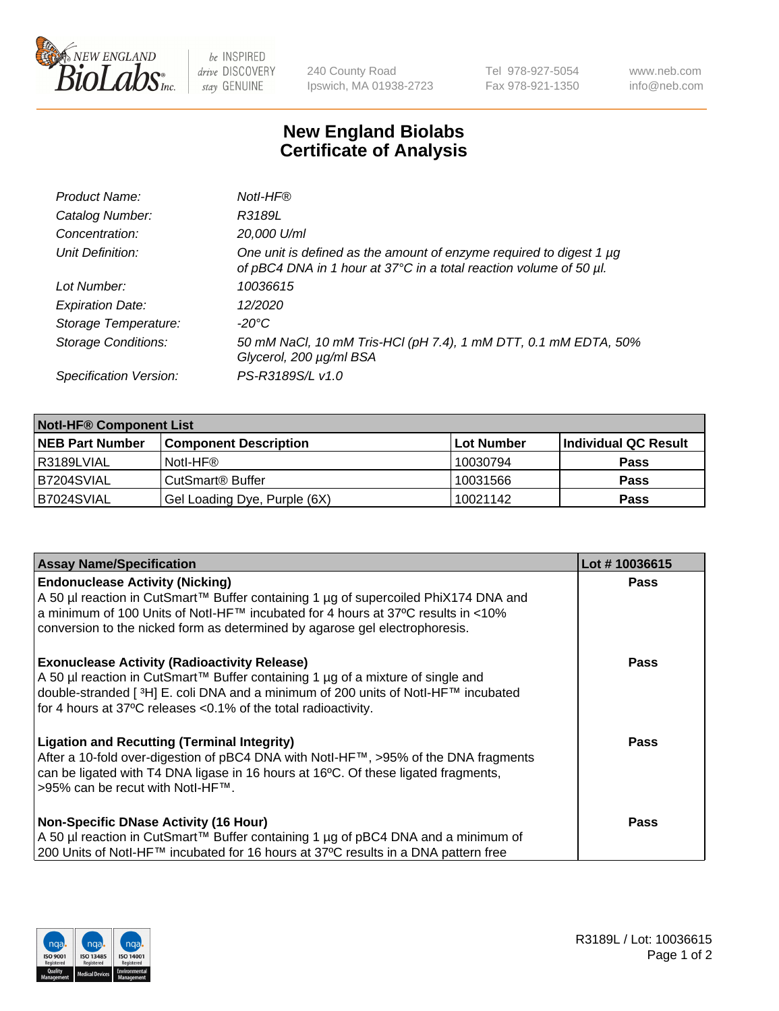

 $be$  INSPIRED drive DISCOVERY stay GENUINE

240 County Road Ipswich, MA 01938-2723 Tel 978-927-5054 Fax 978-921-1350 www.neb.com info@neb.com

## **New England Biolabs Certificate of Analysis**

| Product Name:              | Notl-HF®                                                                                                                                  |
|----------------------------|-------------------------------------------------------------------------------------------------------------------------------------------|
| Catalog Number:            | R3189L                                                                                                                                    |
| Concentration:             | 20,000 U/ml                                                                                                                               |
| Unit Definition:           | One unit is defined as the amount of enzyme required to digest 1 µg<br>of pBC4 DNA in 1 hour at 37°C in a total reaction volume of 50 µl. |
| Lot Number:                | 10036615                                                                                                                                  |
| <b>Expiration Date:</b>    | 12/2020                                                                                                                                   |
| Storage Temperature:       | $-20^{\circ}$ C                                                                                                                           |
| <b>Storage Conditions:</b> | 50 mM NaCl, 10 mM Tris-HCl (pH 7.4), 1 mM DTT, 0.1 mM EDTA, 50%<br>Glycerol, 200 µg/ml BSA                                                |
| Specification Version:     | PS-R3189S/L v1.0                                                                                                                          |

| <b>Notl-HF® Component List</b> |                              |            |                      |  |  |
|--------------------------------|------------------------------|------------|----------------------|--|--|
| <b>NEB Part Number</b>         | <b>Component Description</b> | Lot Number | Individual QC Result |  |  |
| R3189LVIAL                     | Notl-HF®                     | 10030794   | <b>Pass</b>          |  |  |
| IB7204SVIAL                    | CutSmart <sup>®</sup> Buffer | 10031566   | <b>Pass</b>          |  |  |
| B7024SVIAL                     | Gel Loading Dye, Purple (6X) | 10021142   | <b>Pass</b>          |  |  |

| <b>Assay Name/Specification</b>                                                                                                                                                                                                                                                                              | Lot #10036615 |
|--------------------------------------------------------------------------------------------------------------------------------------------------------------------------------------------------------------------------------------------------------------------------------------------------------------|---------------|
| <b>Endonuclease Activity (Nicking)</b><br>  A 50 µl reaction in CutSmart™ Buffer containing 1 µg of supercoiled PhiX174 DNA and                                                                                                                                                                              | <b>Pass</b>   |
| a minimum of 100 Units of Notl-HF™ incubated for 4 hours at 37°C results in <10%<br>conversion to the nicked form as determined by agarose gel electrophoresis.                                                                                                                                              |               |
| <b>Exonuclease Activity (Radioactivity Release)</b><br>  A 50 µl reaction in CutSmart™ Buffer containing 1 µg of a mixture of single and<br>double-stranded [ <sup>3</sup> H] E. coli DNA and a minimum of 200 units of Notl-HF™ incubated<br>for 4 hours at 37°C releases <0.1% of the total radioactivity. | Pass          |
| <b>Ligation and Recutting (Terminal Integrity)</b><br>After a 10-fold over-digestion of pBC4 DNA with Notl-HF™, >95% of the DNA fragments<br>can be ligated with T4 DNA ligase in 16 hours at 16 <sup>o</sup> C. Of these ligated fragments,<br>1>95% can be recut with NotI-HF™.                            | Pass          |
| <b>Non-Specific DNase Activity (16 Hour)</b><br>A 50 µl reaction in CutSmart™ Buffer containing 1 µg of pBC4 DNA and a minimum of                                                                                                                                                                            | <b>Pass</b>   |
| 200 Units of Notl-HF™ incubated for 16 hours at 37°C results in a DNA pattern free                                                                                                                                                                                                                           |               |